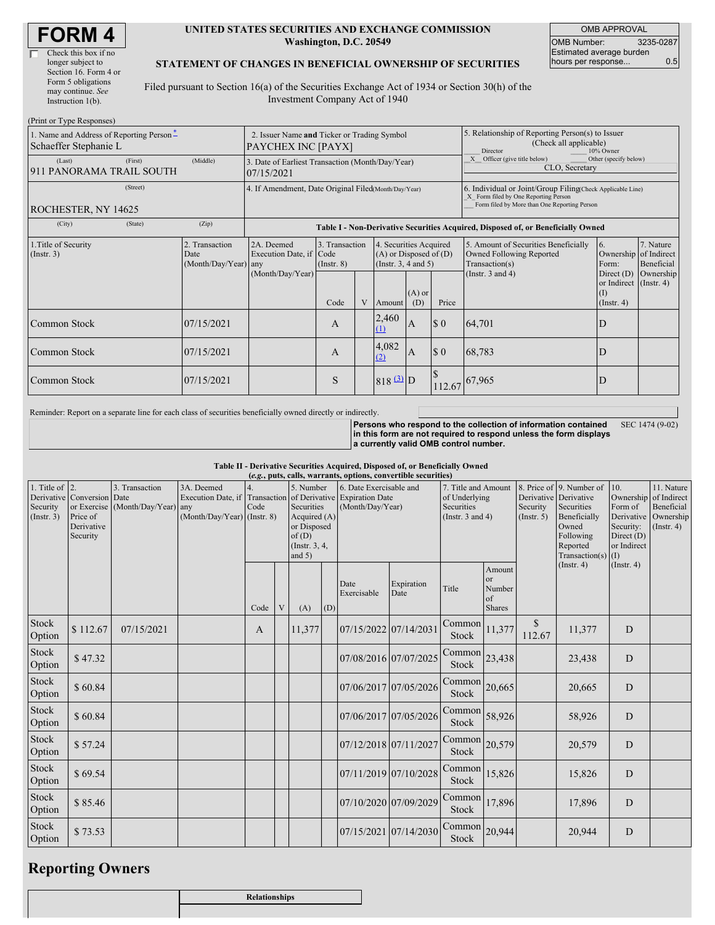| <b>FORM4</b> |
|--------------|
|--------------|

 $(D_{\text{wint on}}$  Type  $D$ 

#### **UNITED STATES SECURITIES AND EXCHANGE COMMISSION Washington, D.C. 20549**

OMB APPROVAL OMB Number: 3235-0287 Estimated average burden hours per response... 0.5

#### **STATEMENT OF CHANGES IN BENEFICIAL OWNERSHIP OF SECURITIES**

Filed pursuant to Section 16(a) of the Securities Exchange Act of 1934 or Section 30(h) of the Investment Company Act of 1940

| 1. Name and Address of Reporting Person-<br>Schaeffer Stephanie L |                                                | 2. Issuer Name and Ticker or Trading Symbol<br>PAYCHEX INC [PAYX]                |                                           |   |                                                                                                                        |   | 5. Relationship of Reporting Person(s) to Issuer<br>(Check all applicable)<br>10% Owner<br>Director |                                                                                                                                                    |                                                                                                         |                                      |
|-------------------------------------------------------------------|------------------------------------------------|----------------------------------------------------------------------------------|-------------------------------------------|---|------------------------------------------------------------------------------------------------------------------------|---|-----------------------------------------------------------------------------------------------------|----------------------------------------------------------------------------------------------------------------------------------------------------|---------------------------------------------------------------------------------------------------------|--------------------------------------|
| (Last)<br>(First)<br>911 PANORAMA TRAIL SOUTH                     | (Middle)                                       | 3. Date of Earliest Transaction (Month/Day/Year)<br>07/15/2021                   |                                           |   |                                                                                                                        |   |                                                                                                     | X Officer (give title below)<br>Other (specify below)<br>CLO, Secretary                                                                            |                                                                                                         |                                      |
| (Street)<br>ROCHESTER, NY 14625                                   |                                                | 4. If Amendment, Date Original Filed(Month/Day/Year)                             |                                           |   |                                                                                                                        |   |                                                                                                     | 6. Individual or Joint/Group Filing(Check Applicable Line)<br>X Form filed by One Reporting Person<br>Form filed by More than One Reporting Person |                                                                                                         |                                      |
| (City)<br>(State)                                                 | (Zip)                                          | Table I - Non-Derivative Securities Acquired, Disposed of, or Beneficially Owned |                                           |   |                                                                                                                        |   |                                                                                                     |                                                                                                                                                    |                                                                                                         |                                      |
| 1. Title of Security<br>(Instr. 3)                                | 2. Transaction<br>Date<br>(Month/Day/Year) any | 2A. Deemed<br>Execution Date, if Code<br>(Month/Day/Year)                        | 3. Transaction<br>$($ Instr. $8)$<br>Code | V | 4. Securities Acquired<br>$(A)$ or Disposed of $(D)$<br>(Instr. $3, 4$ and $5$ )<br>$(A)$ or<br>Price<br>(D)<br>Amount |   |                                                                                                     | 5. Amount of Securities Beneficially<br><b>Owned Following Reported</b><br>Transaction(s)<br>(Instr. $3$ and $4$ )                                 | 6.<br>Ownership of Indirect<br>Form:<br>Direct $(D)$<br>or Indirect (Instr. 4)<br>$($ I)<br>(Insert. 4) | 7. Nature<br>Beneficial<br>Ownership |
| <b>Common Stock</b>                                               | 07/15/2021                                     |                                                                                  | A                                         |   | 2,460<br>(1)                                                                                                           | A | $\Omega$                                                                                            | 64,701                                                                                                                                             | D                                                                                                       |                                      |
| <b>Common Stock</b>                                               | 07/15/2021                                     |                                                                                  | A                                         |   | 4,082<br>(2)                                                                                                           | A | $\Omega$                                                                                            | 68,783                                                                                                                                             | D                                                                                                       |                                      |
| <b>Common Stock</b>                                               | 07/15/2021                                     |                                                                                  | S                                         |   | $818$ $\frac{(3)}{2}$ D                                                                                                |   | 112.67                                                                                              | 67,965                                                                                                                                             | D                                                                                                       |                                      |

Reminder: Report on a separate line for each class of securities beneficially owned directly or indirectly.

**Persons who respond to the collection of information contained in this form are not required to respond unless the form displays a currently valid OMB control number.** SEC 1474 (9-02)

**Table II - Derivative Securities Acquired, Disposed of, or Beneficially Owned**

| (e.g., puts, calls, warrants, options, convertible securities) |                                                                  |                                                    |                                                                                                             |      |   |                                                                                                   |     |                                             |                       |                                                                             |                                               |                                                  |                                                                                                                  |                                                            |                                                                                               |
|----------------------------------------------------------------|------------------------------------------------------------------|----------------------------------------------------|-------------------------------------------------------------------------------------------------------------|------|---|---------------------------------------------------------------------------------------------------|-----|---------------------------------------------|-----------------------|-----------------------------------------------------------------------------|-----------------------------------------------|--------------------------------------------------|------------------------------------------------------------------------------------------------------------------|------------------------------------------------------------|-----------------------------------------------------------------------------------------------|
| 1. Title of $ 2$ .<br>Security<br>(Insert. 3)                  | Derivative Conversion Date<br>Price of<br>Derivative<br>Security | 3. Transaction<br>or Exercise (Month/Day/Year) any | 3A. Deemed<br>Execution Date, if Transaction of Derivative Expiration Date<br>$(Month/Day/Year)$ (Instr. 8) | Code |   | 5. Number<br>Securities<br>Acquired (A)<br>or Disposed<br>of(D)<br>$($ Instr. $3, 4,$<br>and $5)$ |     | 6. Date Exercisable and<br>(Month/Day/Year) |                       | 7. Title and Amount<br>of Underlying<br>Securities<br>(Instr. $3$ and $4$ ) |                                               | Derivative Derivative<br>Security<br>(Insert. 5) | 8. Price of 9. Number of<br>Securities<br>Beneficially<br>Owned<br>Following<br>Reported<br>Transaction(s) $(I)$ | 10.<br>Form of<br>Security:<br>Direct $(D)$<br>or Indirect | 11. Nature<br>Ownership of Indirect<br>Beneficial<br>Derivative Ownership<br>$($ Instr. 4 $)$ |
|                                                                |                                                                  |                                                    |                                                                                                             | Code | V | (A)                                                                                               | (D) | Date<br>Exercisable                         | Expiration<br>Date    | Title                                                                       | Amount<br>or<br>Number<br>of<br><b>Shares</b> |                                                  | (Insert. 4)                                                                                                      | $($ Instr. 4 $)$                                           |                                                                                               |
| Stock<br>Option                                                | \$112.67                                                         | 07/15/2021                                         |                                                                                                             | A    |   | 11,377                                                                                            |     | 07/15/2022 07/14/2031                       |                       | Common<br><b>Stock</b>                                                      | 11,377                                        | $\mathcal{S}$<br>112.67                          | 11,377                                                                                                           | D                                                          |                                                                                               |
| Stock<br>Option                                                | \$47.32                                                          |                                                    |                                                                                                             |      |   |                                                                                                   |     | 07/08/2016 07/07/2025                       |                       | Common<br>Stock                                                             | 23,438                                        |                                                  | 23,438                                                                                                           | D                                                          |                                                                                               |
| Stock<br>Option                                                | \$60.84                                                          |                                                    |                                                                                                             |      |   |                                                                                                   |     | 07/06/2017 07/05/2026                       |                       | Common<br>Stock                                                             | 20,665                                        |                                                  | 20,665                                                                                                           | D                                                          |                                                                                               |
| Stock<br>Option                                                | \$60.84                                                          |                                                    |                                                                                                             |      |   |                                                                                                   |     |                                             | 07/06/2017 07/05/2026 | Common<br>Stock                                                             | 58,926                                        |                                                  | 58,926                                                                                                           | D                                                          |                                                                                               |
| Stock<br>Option                                                | \$57.24                                                          |                                                    |                                                                                                             |      |   |                                                                                                   |     | 07/12/2018 07/11/2027                       |                       | Common<br><b>Stock</b>                                                      | 20,579                                        |                                                  | 20,579                                                                                                           | D                                                          |                                                                                               |
| Stock<br>Option                                                | \$69.54                                                          |                                                    |                                                                                                             |      |   |                                                                                                   |     | 07/11/2019 07/10/2028                       |                       | Common<br>Stock                                                             | 15,826                                        |                                                  | 15,826                                                                                                           | D                                                          |                                                                                               |
| Stock<br>Option                                                | \$85.46                                                          |                                                    |                                                                                                             |      |   |                                                                                                   |     | 07/10/2020 07/09/2029                       |                       | Common<br>Stock                                                             | 17,896                                        |                                                  | 17,896                                                                                                           | D                                                          |                                                                                               |
| Stock<br>Option                                                | \$73.53                                                          |                                                    |                                                                                                             |      |   |                                                                                                   |     | 07/15/2021 07/14/2030                       |                       | Common<br><b>Stock</b>                                                      | 20,944                                        |                                                  | 20,944                                                                                                           | D                                                          |                                                                                               |

# **Reporting Owners**

| Relationships |
|---------------|
|               |